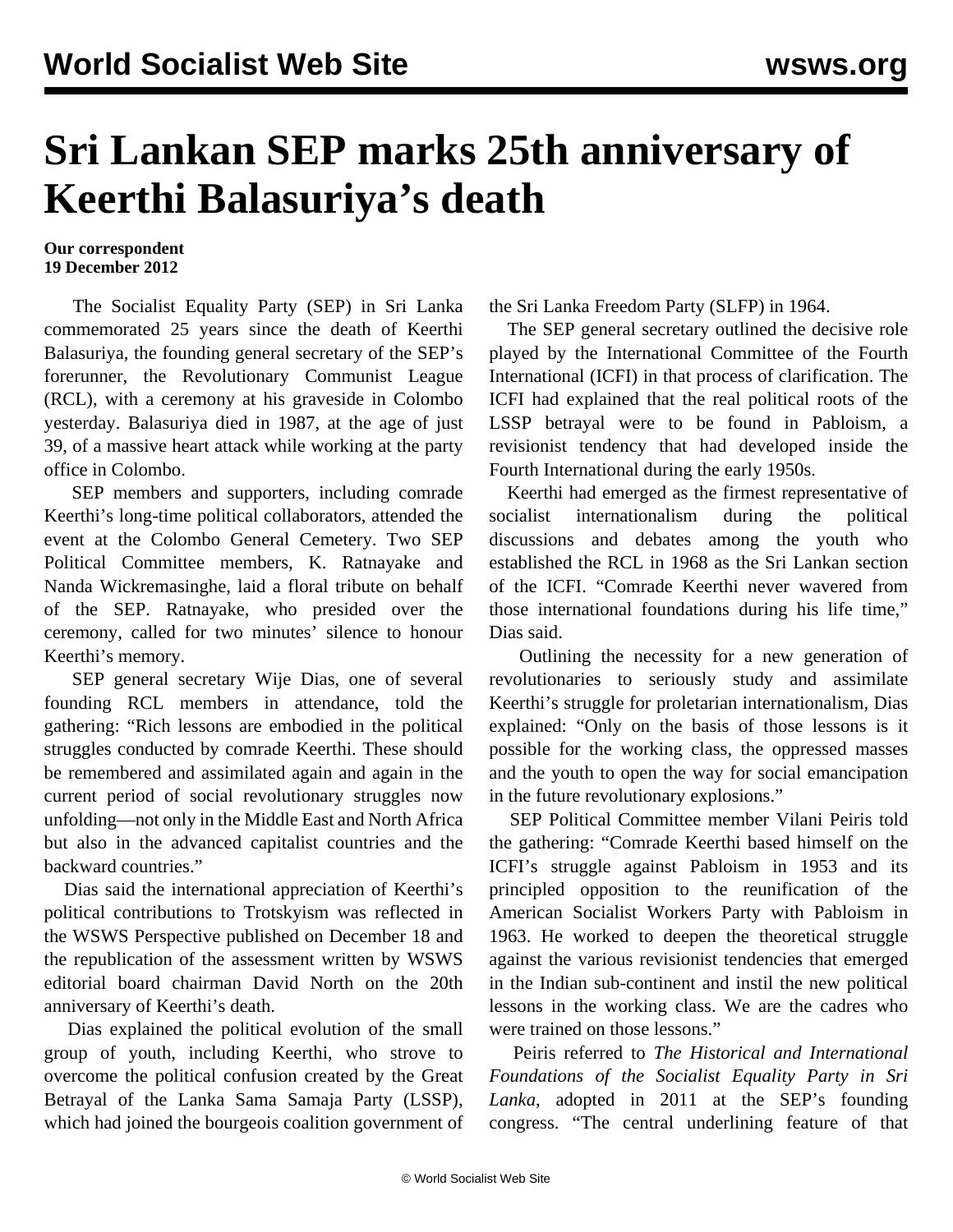## **Sri Lankan SEP marks 25th anniversary of Keerthi Balasuriya's death**

## **Our correspondent 19 December 2012**

 The Socialist Equality Party (SEP) in Sri Lanka commemorated 25 years since the death of Keerthi Balasuriya, the founding general secretary of the SEP's forerunner, the Revolutionary Communist League (RCL), with a ceremony at his graveside in Colombo yesterday. Balasuriya died in 1987, at the age of just 39, of a massive heart attack while working at the party office in Colombo.

 SEP members and supporters, including comrade Keerthi's long-time political collaborators, attended the event at the Colombo General Cemetery. Two SEP Political Committee members, K. Ratnayake and Nanda Wickremasinghe, laid a floral tribute on behalf of the SEP. Ratnayake, who presided over the ceremony, called for two minutes' silence to honour Keerthi's memory.

 SEP general secretary Wije Dias, one of several founding RCL members in attendance, told the gathering: "Rich lessons are embodied in the political struggles conducted by comrade Keerthi. These should be remembered and assimilated again and again in the current period of social revolutionary struggles now unfolding—not only in the Middle East and North Africa but also in the advanced capitalist countries and the backward countries."

 Dias said the international appreciation of Keerthi's political contributions to Trotskyism was reflected in the WSWS [Perspective](/share/page/site/wsws/pers-d18.html) published on December 18 and the republication of the assessment written by WSWS editorial board chairman David North on the 20th anniversary of Keerthi's death.

 Dias explained the political evolution of the small group of youth, including Keerthi, who strove to overcome the political confusion created by the Great Betrayal of the Lanka Sama Samaja Party (LSSP), which had joined the bourgeois coalition government of the Sri Lanka Freedom Party (SLFP) in 1964.

 The SEP general secretary outlined the decisive role played by the International Committee of the Fourth International (ICFI) in that process of clarification. The ICFI had explained that the real political roots of the LSSP betrayal were to be found in Pabloism, a revisionist tendency that had developed inside the Fourth International during the early 1950s.

 Keerthi had emerged as the firmest representative of socialist internationalism during the political discussions and debates among the youth who established the RCL in 1968 as the Sri Lankan section of the ICFI. "Comrade Keerthi never wavered from those international foundations during his life time," Dias said.

 Outlining the necessity for a new generation of revolutionaries to seriously study and assimilate Keerthi's struggle for proletarian internationalism, Dias explained: "Only on the basis of those lessons is it possible for the working class, the oppressed masses and the youth to open the way for social emancipation in the future revolutionary explosions."

 SEP Political Committee member Vilani Peiris told the gathering: "Comrade Keerthi based himself on the ICFI's struggle against Pabloism in 1953 and its principled opposition to the reunification of the American Socialist Workers Party with Pabloism in 1963. He worked to deepen the theoretical struggle against the various revisionist tendencies that emerged in the Indian sub-continent and instil the new political lessons in the working class. We are the cadres who were trained on those lessons."

 Peiris referred to *The Historical and International Foundations of the Socialist Equality Party in Sri Lanka*, adopted in 2011 at the SEP's founding congress. "The central underlining feature of that